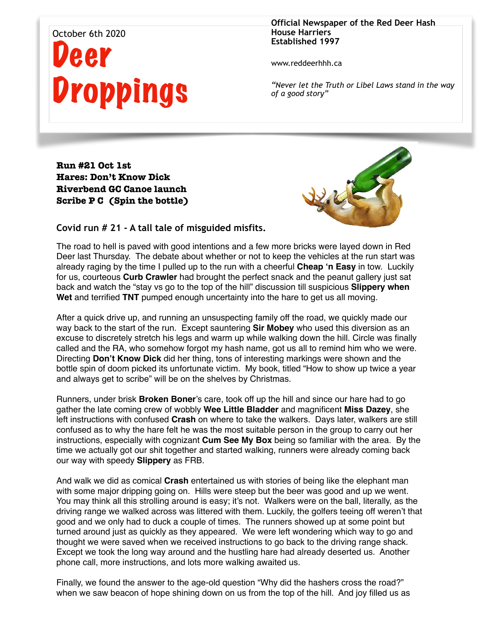## October 6th 2020 Deer Droppings

**Official Newspaper of the Red Deer Hash House Harriers Established 1997** 

www.reddeerhhh.ca

*"Never let the Truth or Libel Laws stand in the way of a good story"*

**Run #21 Oct 1st Hares: Don't Know Dick Riverbend GC Canoe launch Scribe P C (Spin the bottle)**



**Covid run # 21 - A tall tale of misguided misfits.** 

The road to hell is paved with good intentions and a few more bricks were layed down in Red Deer last Thursday. The debate about whether or not to keep the vehicles at the run start was already raging by the time I pulled up to the run with a cheerful **Cheap 'n Easy** in tow. Luckily for us, courteous **Curb Crawler** had brought the perfect snack and the peanut gallery just sat back and watch the "stay vs go to the top of the hill" discussion till suspicious **Slippery when Wet** and terrified **TNT** pumped enough uncertainty into the hare to get us all moving.

After a quick drive up, and running an unsuspecting family off the road, we quickly made our way back to the start of the run. Except sauntering **Sir Mobey** who used this diversion as an excuse to discretely stretch his legs and warm up while walking down the hill. Circle was finally called and the RA, who somehow forgot my hash name, got us all to remind him who we were. Directing **Don't Know Dick** did her thing, tons of interesting markings were shown and the bottle spin of doom picked its unfortunate victim. My book, titled "How to show up twice a year and always get to scribe" will be on the shelves by Christmas.

Runners, under brisk **Broken Boner**'s care, took off up the hill and since our hare had to go gather the late coming crew of wobbly **Wee Little Bladder** and magnificent **Miss Dazey**, she left instructions with confused **Crash** on where to take the walkers. Days later, walkers are still confused as to why the hare felt he was the most suitable person in the group to carry out her instructions, especially with cognizant **Cum See My Box** being so familiar with the area. By the time we actually got our shit together and started walking, runners were already coming back our way with speedy **Slippery** as FRB.

And walk we did as comical **Crash** entertained us with stories of being like the elephant man with some major dripping going on. Hills were steep but the beer was good and up we went. You may think all this strolling around is easy; it's not. Walkers were on the ball, literally, as the driving range we walked across was littered with them. Luckily, the golfers teeing off weren't that good and we only had to duck a couple of times. The runners showed up at some point but turned around just as quickly as they appeared. We were left wondering which way to go and thought we were saved when we received instructions to go back to the driving range shack. Except we took the long way around and the hustling hare had already deserted us. Another phone call, more instructions, and lots more walking awaited us.

Finally, we found the answer to the age-old question "Why did the hashers cross the road?" when we saw beacon of hope shining down on us from the top of the hill. And joy filled us as